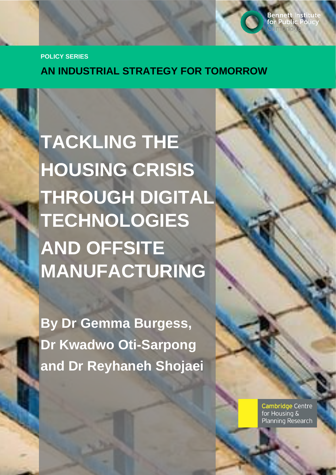**POLICY SERIES**

**AN INDUSTRIAL STRATEGY FOR TOMORROW**

**TACKLING THE HOUSING CRISIS THROUGH DIGITAL TECHNOLOGIES AND OFFSITE MANUFACTURING**

**By Dr Gemma Burgess, Dr Kwadwo Oti-Sarpong and Dr Reyhaneh Shojaei**

> **Cambridge Centre** for Housing & **Planning Research**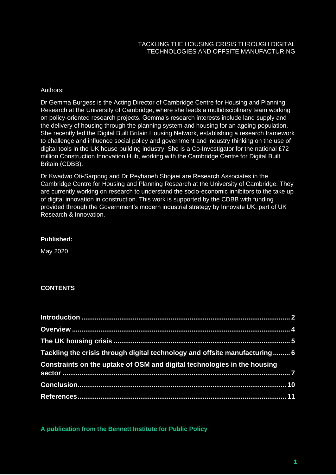#### Authors:

Dr Gemma Burgess is the Acting Director of Cambridge Centre for Housing and Planning Research at the University of Cambridge, where she leads a multidisciplinary team working on policy-oriented research projects. Gemma's research interests include land supply and the delivery of housing through the planning system and housing for an ageing population. She recently led the Digital Built Britain Housing Network, establishing a research framework to challenge and influence social policy and government and industry thinking on the use of digital tools in the UK house building industry. She is a Co-Investigator for the national £72 million Construction Innovation Hub, working with the Cambridge Centre for Digital Built Britain (CDBB).

Dr Kwadwo Oti-Sarpong and Dr Reyhaneh Shojaei are Research Associates in the Cambridge Centre for Housing and Planning Research at the University of Cambridge. They are currently working on research to understand the socio-economic inhibitors to the take up of digital innovation in construction. This work is supported by the CDBB with funding provided through the Government's modern industrial strategy by Innovate UK, part of UK Research & Innovation.

### **Published:**

May 2020

# **CONTENTS**

| Tackling the crisis through digital technology and offsite manufacturing  6 |  |
|-----------------------------------------------------------------------------|--|
| Constraints on the uptake of OSM and digital technologies in the housing    |  |
|                                                                             |  |
|                                                                             |  |

**A publication from the Bennett Institute for Public Policy**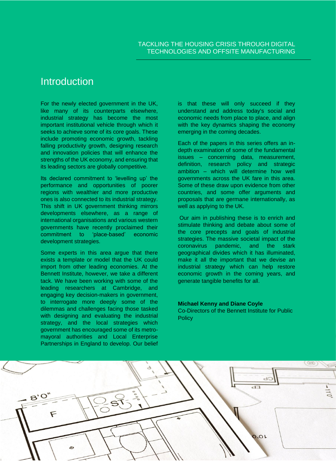# <span id="page-2-0"></span>**Introduction**

For the newly elected government in the UK, like many of its counterparts elsewhere, industrial strategy has become the most important institutional vehicle through which it seeks to achieve some of its core goals. These include promoting economic growth, tackling falling productivity growth, designing research and innovation policies that will enhance the strengths of the UK economy, and ensuring that its leading sectors are globally competitive.

Its declared commitment to 'levelling up' the performance and opportunities of poorer regions with wealthier and more productive ones is also connected to its industrial strategy. This shift in UK government thinking mirrors developments elsewhere, as a range of international organisations and various western governments have recently proclaimed their commitment to 'place-based' economic development strategies.

Some experts in this area argue that there exists a template or model that the UK could import from other leading economies. At the Bennett Institute, however, we take a different tack. We have been working with some of the leading researchers at Cambridge, and engaging key decision-makers in government, to interrogate more deeply some of the dilemmas and challenges facing those tasked with designing and evaluating the industrial strategy, and the local strategies which government has encouraged some of its metromayoral authorities and Local Enterprise Partnerships in England to develop. Our belief

is that these will only succeed if they understand and address today's social and economic needs from place to place, and align with the key dynamics shaping the economy emerging in the coming decades.

Each of the papers in this series offers an indepth examination of some of the fundamental issues – concerning data, measurement, definition, research policy and strategic ambition – which will determine how well governments across the UK fare in this area. Some of these draw upon evidence from other countries, and some offer arguments and proposals that are germane internationally, as well as applying to the UK.

Our aim in publishing these is to enrich and stimulate thinking and debate about some of the core precepts and goals of industrial strategies. The massive societal impact of the coronavirus pandemic, and the stark geographical divides which it has illuminated, make it all the important that we devise an industrial strategy which can help restore economic growth in the coming years, and generate tangible benefits for all.

#### **Michael Kenny and Diane Coyle**

Co-Directors of the Bennett Institute for Public **Policy** 

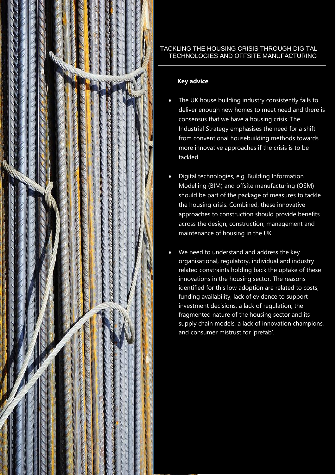

# **2** TECHNOLOGIES AND OFFSITE MANUFACTURING TACKLING THE HOUSING CRISIS THROUGH DIGITAL

# **Key advice**

- consensus that we have a housing crisis. The Industrial Strategy emphasises the need for a shift from conventional housebuilding methods towards more innovative approaches if the crisis is to be  $\mathbf{F}$ The UK house building industry consistently fails to deliver enough new homes to meet need and there is tackled.
- Digital technologies, e.g. Building Information Modelling (BIM) and offsite manufacturing (OSM) should be part of the package of measures to tackle approaches to construction should provide benefits across the design, construction, management and maintenance of housing in the UK. the housing crisis. Combined, these innovative
- We need to understand and address the key organisational, regulatory, individual and industry related constraints holding back the uptake of these innovations in the housing sector. The reasons identified for this low adoption are related to costs, investment decisions, a lack of regulation, the fragmented nature of the housing sector and its supply chain models, a lack of innovation champions, and consumer mistrust for 'prefab'. funding availability, lack of evidence to support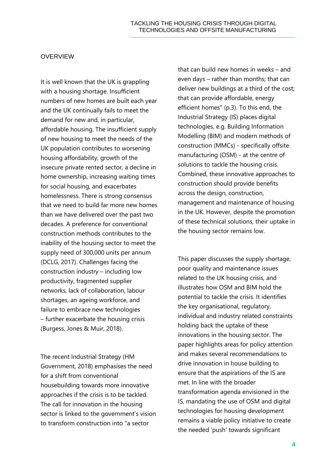#### OVERVIEW

It is well known that the UK is grappling with a housing shortage. Insufficient numbers of new homes are built each year and the UK continually fails to meet the demand for new and, in particular, affordable housing. The insufficient supply of new housing to meet the needs of the UK population contributes to worsening housing affordability, growth of the insecure private rented sector, a decline in home ownership, increasing waiting times for social housing, and exacerbates homelessness. There is strong consensus that we need to build far more new homes than we have delivered over the past two decades. A preference for conventional construction methods contributes to the inability of the housing sector to meet the supply need of 300,000 units per annum (DCLG, 2017). Challenges facing the construction industry – including low productivity, fragmented supplier networks, lack of collaboration, labour shortages, an ageing workforce, and failure to embrace new technologies – further exacerbate the housing crisis (Burgess, Jones & Muir, 2018).

The recent Industrial Strategy (HM Government, 2018) emphasises the need for a shift from conventional housebuilding towards more innovative approaches if the crisis is to be tackled. The call for innovation in the housing sector is linked to the government's vision to transform construction into "a sector

that can build new homes in weeks – and even days – rather than months; that can deliver new buildings at a third of the cost; that can provide affordable, energy efficient homes" (p.3). To this end, the Industrial Strategy (IS) places digital technologies, e.g. Building Information Modelling (BIM) and modern methods of construction (MMCs) - specifically offsite manufacturing (OSM) - at the centre of solutions to tackle the housing crisis. Combined, these innovative approaches to construction should provide benefits across the design, construction, management and maintenance of housing in the UK. However, despite the promotion of these technical solutions, their uptake in the housing sector remains low.

This paper discusses the supply shortage, poor quality and maintenance issues related to the UK housing crisis, and illustrates how OSM and BIM hold the potential to tackle the crisis. It identifies the key organisational, regulatory, individual and industry related constraints holding back the uptake of these innovations in the housing sector. The paper highlights areas for policy attention and makes several recommendations to drive innovation in house building to ensure that the aspirations of the IS are met. In line with the broader transformation agenda envisioned in the IS, mandating the use of OSM and digital technologies for housing development remains a viable policy initiative to create the needed 'push' towards significant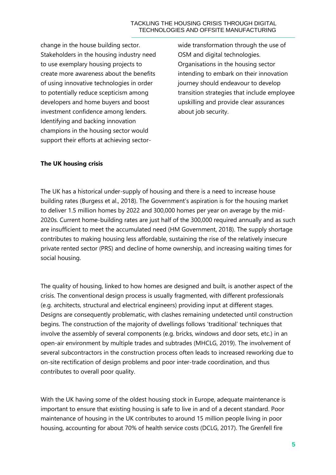#### TACKLING THE HOUSING CRISIS THROUGH DIGITAL TECHNOLOGIES AND OFFSITE MANUFACTURING

change in the house building sector. Stakeholders in the housing industry need to use exemplary housing projects to create more awareness about the benefits of using innovative technologies in order to potentially reduce scepticism among developers and home buyers and boost investment confidence among lenders. Identifying and backing innovation champions in the housing sector would support their efforts at achieving sector-

wide transformation through the use of OSM and digital technologies. Organisations in the housing sector intending to embark on their innovation journey should endeavour to develop transition strategies that include employee upskilling and provide clear assurances about job security.

#### **The UK housing crisis**

The UK has a historical under-supply of housing and there is a need to increase house building rates (Burgess et al., 2018). The Government's aspiration is for the housing market to deliver 1.5 million homes by 2022 and 300,000 homes per year on average by the mid-2020s. Current home-building rates are just half of the 300,000 required annually and as such are insufficient to meet the accumulated need (HM Government, 2018). The supply shortage contributes to making housing less affordable, sustaining the rise of the relatively insecure private rented sector (PRS) and decline of home ownership, and increasing waiting times for social housing.

The quality of housing, linked to how homes are designed and built, is another aspect of the crisis. The conventional design process is usually fragmented, with different professionals (e.g. architects, structural and electrical engineers) providing input at different stages. Designs are consequently problematic, with clashes remaining undetected until construction begins. The construction of the majority of dwellings follows 'traditional' techniques that involve the assembly of several components (e.g. bricks, windows and door sets, etc.) in an open-air environment by multiple trades and subtrades (MHCLG, 2019). The involvement of several subcontractors in the construction process often leads to increased reworking due to on-site rectification of design problems and poor inter-trade coordination, and thus contributes to overall poor quality.

With the UK having some of the oldest housing stock in Europe, adequate maintenance is important to ensure that existing housing is safe to live in and of a decent standard. Poor maintenance of housing in the UK contributes to around 15 million people living in poor housing, accounting for about 70% of health service costs (DCLG, 2017). The Grenfell fire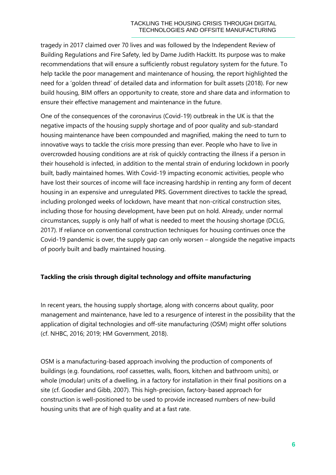tragedy in 2017 claimed over 70 lives and was followed by the Independent Review of Building Regulations and Fire Safety, led by Dame Judith Hackitt. Its purpose was to make recommendations that will ensure a sufficiently robust regulatory system for the future. To help tackle the poor management and maintenance of housing, the report highlighted the need for a 'golden thread' of detailed data and information for built assets (2018). For new build housing, BIM offers an opportunity to create, store and share data and information to ensure their effective management and maintenance in the future.

One of the consequences of the coronavirus (Covid-19) outbreak in the UK is that the negative impacts of the housing supply shortage and of poor quality and sub-standard housing maintenance have been compounded and magnified, making the need to turn to innovative ways to tackle the crisis more pressing than ever. People who have to live in overcrowded housing conditions are at risk of quickly contracting the illness if a person in their household is infected, in addition to the mental strain of enduring lockdown in poorly built, badly maintained homes. With Covid-19 impacting economic activities, people who have lost their sources of income will face increasing hardship in renting any form of decent housing in an expensive and unregulated PRS. Government directives to tackle the spread, including prolonged weeks of lockdown, have meant that non-critical construction sites, including those for housing development, have been put on hold. Already, under normal circumstances, supply is only half of what is needed to meet the housing shortage (DCLG, 2017). If reliance on conventional construction techniques for housing continues once the Covid-19 pandemic is over, the supply gap can only worsen – alongside the negative impacts of poorly built and badly maintained housing.

# **Tackling the crisis through digital technology and offsite manufacturing**

In recent years, the housing supply shortage, along with concerns about quality, poor management and maintenance, have led to a resurgence of interest in the possibility that the application of digital technologies and off-site manufacturing (OSM) might offer solutions (cf. NHBC, 2016; 2019; HM Government, 2018).

OSM is a manufacturing-based approach involving the production of components of buildings (e.g. foundations, roof cassettes, walls, floors, kitchen and bathroom units), or whole (modular) units of a dwelling, in a factory for installation in their final positions on a site (cf. Goodier and Gibb, 2007). This high-precision, factory-based approach for construction is well-positioned to be used to provide increased numbers of new-build housing units that are of high quality and at a fast rate.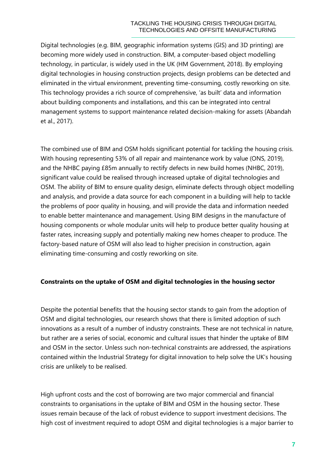#### TACKLING THE HOUSING CRISIS THROUGH DIGITAL TECHNOLOGIES AND OFFSITE MANUFACTURING

Digital technologies (e.g. BIM, geographic information systems (GIS) and 3D printing) are becoming more widely used in construction. BIM, a computer-based object modelling technology, in particular, is widely used in the UK (HM Government, 2018). By employing digital technologies in housing construction projects, design problems can be detected and eliminated in the virtual environment, preventing time-consuming, costly reworking on site. This technology provides a rich source of comprehensive, 'as built' data and information about building components and installations, and this can be integrated into central management systems to support maintenance related decision-making for assets (Abandah et al., 2017).

The combined use of BIM and OSM holds significant potential for tackling the housing crisis. With housing representing 53% of all repair and maintenance work by value (ONS, 2019), and the NHBC paying £85m annually to rectify defects in new build homes (NHBC, 2019), significant value could be realised through increased uptake of digital technologies and OSM. The ability of BIM to ensure quality design, eliminate defects through object modelling and analysis, and provide a data source for each component in a building will help to tackle the problems of poor quality in housing, and will provide the data and information needed to enable better maintenance and management. Using BIM designs in the manufacture of housing components or whole modular units will help to produce better quality housing at faster rates, increasing supply and potentially making new homes cheaper to produce. The factory-based nature of OSM will also lead to higher precision in construction, again eliminating time-consuming and costly reworking on site.

#### **Constraints on the uptake of OSM and digital technologies in the housing sector**

Despite the potential benefits that the housing sector stands to gain from the adoption of OSM and digital technologies, our research shows that there is limited adoption of such innovations as a result of a number of industry constraints. These are not technical in nature, but rather are a series of social, economic and cultural issues that hinder the uptake of BIM and OSM in the sector. Unless such non-technical constraints are addressed, the aspirations contained within the Industrial Strategy for digital innovation to help solve the UK's housing crisis are unlikely to be realised.

High upfront costs and the cost of borrowing are two major commercial and financial constraints to organisations in the uptake of BIM and OSM in the housing sector. These issues remain because of the lack of robust evidence to support investment decisions. The high cost of investment required to adopt OSM and digital technologies is a major barrier to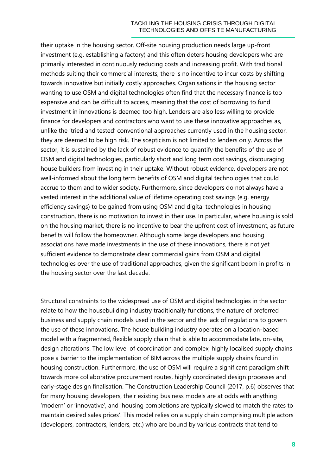their uptake in the housing sector. Off-site housing production needs large up-front investment (e.g. establishing a factory) and this often deters housing developers who are primarily interested in continuously reducing costs and increasing profit. With traditional methods suiting their commercial interests, there is no incentive to incur costs by shifting towards innovative but initially costly approaches. Organisations in the housing sector wanting to use OSM and digital technologies often find that the necessary finance is too expensive and can be difficult to access, meaning that the cost of borrowing to fund investment in innovations is deemed too high. Lenders are also less willing to provide finance for developers and contractors who want to use these innovative approaches as, unlike the 'tried and tested' conventional approaches currently used in the housing sector, they are deemed to be high risk. The scepticism is not limited to lenders only. Across the sector, it is sustained by the lack of robust evidence to quantify the benefits of the use of OSM and digital technologies, particularly short and long term cost savings, discouraging house builders from investing in their uptake. Without robust evidence, developers are not well-informed about the long term benefits of OSM and digital technologies that could accrue to them and to wider society. Furthermore, since developers do not always have a vested interest in the additional value of lifetime operating cost savings (e.g. energy efficiency savings) to be gained from using OSM and digital technologies in housing construction, there is no motivation to invest in their use. In particular, where housing is sold on the housing market, there is no incentive to bear the upfront cost of investment, as future benefits will follow the homeowner. Although some large developers and housing associations have made investments in the use of these innovations, there is not yet sufficient evidence to demonstrate clear commercial gains from OSM and digital technologies over the use of traditional approaches, given the significant boom in profits in the housing sector over the last decade.

Structural constraints to the widespread use of OSM and digital technologies in the sector relate to how the housebuilding industry traditionally functions, the nature of preferred business and supply chain models used in the sector and the lack of regulations to govern the use of these innovations. The house building industry operates on a location-based model with a fragmented, flexible supply chain that is able to accommodate late, on-site, design alterations. The low level of coordination and complex, highly localised supply chains pose a barrier to the implementation of BIM across the multiple supply chains found in housing construction. Furthermore, the use of OSM will require a significant paradigm shift towards more collaborative procurement routes, highly coordinated design processes and early-stage design finalisation. The Construction Leadership Council (2017, p.6) observes that for many housing developers, their existing business models are at odds with anything 'modern' or 'innovative', and 'housing completions are typically slowed to match the rates to maintain desired sales prices'. This model relies on a supply chain comprising multiple actors (developers, contractors, lenders, etc.) who are bound by various contracts that tend to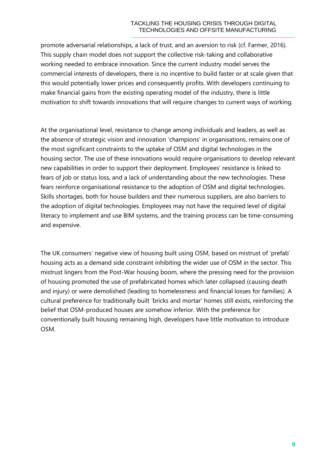#### TACKLING THE HOUSING CRISIS THROUGH DIGITAL TECHNOLOGIES AND OFFSITE MANUFACTURING

promote adversarial relationships, a lack of trust, and an aversion to risk (cf. Farmer, 2016). This supply chain model does not support the collective risk-taking and collaborative working needed to embrace innovation. Since the current industry model serves the commercial interests of developers, there is no incentive to build faster or at scale given that this would potentially lower prices and consequently profits. With developers continuing to make financial gains from the existing operating model of the industry, there is little motivation to shift towards innovations that will require changes to current ways of working.

At the organisational level, resistance to change among individuals and leaders, as well as the absence of strategic vision and innovation 'champions' in organisations, remains one of the most significant constraints to the uptake of OSM and digital technologies in the housing sector. The use of these innovations would require organisations to develop relevant new capabilities in order to support their deployment. Employees' resistance is linked to fears of job or status loss, and a lack of understanding about the new technologies. These fears reinforce organisational resistance to the adoption of OSM and digital technologies. Skills shortages, both for house builders and their numerous suppliers, are also barriers to the adoption of digital technologies. Employees may not have the required level of digital literacy to implement and use BIM systems, and the training process can be time-consuming and expensive.

The UK consumers' negative view of housing built using OSM, based on mistrust of 'prefab' housing acts as a demand side constraint inhibiting the wider use of OSM in the sector. This mistrust lingers from the Post-War housing boom, where the pressing need for the provision of housing promoted the use of prefabricated homes which later collapsed (causing death and injury) or were demolished (leading to homelessness and financial losses for families). A cultural preference for traditionally built 'bricks and mortar' homes still exists, reinforcing the belief that OSM-produced houses are somehow inferior. With the preference for conventionally built housing remaining high, developers have little motivation to introduce OSM.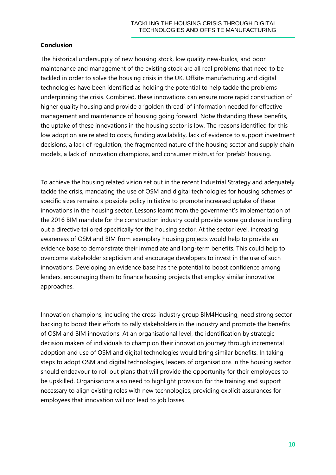# **Conclusion**

The historical undersupply of new housing stock, low quality new-builds, and poor maintenance and management of the existing stock are all real problems that need to be tackled in order to solve the housing crisis in the UK. Offsite manufacturing and digital technologies have been identified as holding the potential to help tackle the problems underpinning the crisis. Combined, these innovations can ensure more rapid construction of higher quality housing and provide a 'golden thread' of information needed for effective management and maintenance of housing going forward. Notwithstanding these benefits, the uptake of these innovations in the housing sector is low. The reasons identified for this low adoption are related to costs, funding availability, lack of evidence to support investment decisions, a lack of regulation, the fragmented nature of the housing sector and supply chain models, a lack of innovation champions, and consumer mistrust for 'prefab' housing.

**10** TACKLING THE HOUSING CRISIS THROUGH DIGITAL To achieve the housing related vision set out in the recent Industrial Strategy and adequately tackle the crisis, mandating the use of OSM and digital technologies for housing schemes of specific sizes remains a possible policy initiative to promote increased uptake of these innovations in the housing sector. Lessons learnt from the government's implementation of the 2016 BIM mandate for the construction industry could provide some guidance in rolling out a directive tailored specifically for the housing sector. At the sector level, increasing awareness of OSM and BIM from exemplary housing projects would help to provide an evidence base to demonstrate their immediate and long-term benefits. This could help to overcome stakeholder scepticism and encourage developers to invest in the use of such innovations. Developing an evidence base has the potential to boost confidence among lenders, encouraging them to finance housing projects that employ similar innovative approaches.

Innovation champions, including the cross-industry group BIM4Housing, need strong sector backing to boost their efforts to rally stakeholders in the industry and promote the benefits of OSM and BIM innovations. At an organisational level, the identification by strategic decision makers of individuals to champion their innovation journey through incremental adoption and use of OSM and digital technologies would bring similar benefits. In taking steps to adopt OSM and digital technologies, leaders of organisations in the housing sector should endeavour to roll out plans that will provide the opportunity for their employees to be upskilled. Organisations also need to highlight provision for the training and support necessary to align existing roles with new technologies, providing explicit assurances for employees that innovation will not lead to job losses.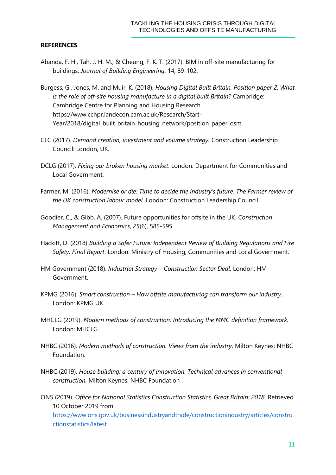#### **REFERENCES**

- Abanda, F. H., Tah, J. H. M., & Cheung, F. K. T. (2017). BIM in off-site manufacturing for buildings. *Journal of Building Engineering*, 14, 89-102.
- **INCREASE TRACHAINS THE MOUSING CRISIS THROUGH THE MONEM CRISIS THROUGH CRISITE INNUFFACTURITYS THROUGH THE TRANSMIT THE CRISIS THROUGH DIGITS THROUGH DIGITAL INCREASE THROUGH DIGITAL INCREASE THROUGH DIGITAL INCREASE THRO** Burgess, G., Jones, M. and Muir, K. (2018). *Housing Digital Built Britain. Position paper 2: What is the role of off-site housing manufacture in a digital built Britain?* Cambridge: Cambridge Centre for Planning and Housing Research. https://www.cchpr.landecon.cam.ac.uk/Research/Start-Year/2018/digital\_built\_britain\_housing\_network/position\_paper\_osm
- CLC (2017). *Demand creation, investment and volume strategy.* Construction Leadership Council: London, UK.
- DCLG (2017). *Fixing our broken housing market*. London: Department for Communities and Local Government.
- Farmer, M. (2016). *Modernise or die: Time to decide the industry's future*. *The Farmer review of the UK construction labour model.* London: Construction Leadership Council.
- Goodier, C., & Gibb, A. (2007). Future opportunities for offsite in the UK. *Construction Management and Economics*, *25*(6), 585-595.
- Hackitt, D. (2018) *Building a Safer Future: Independent Review of Building Regulations and Fire Safety: Final Report*. London: Ministry of Housing, Communities and Local Government.
- HM Government (2018). *Industrial Strategy – Construction Sector Deal*. London: HM Government.
- KPMG (2016). *Smart construction – How offsite manufacturing can transform our industry.*  London: KPMG UK.
- MHCLG (2019). *Modern methods of construction: Introducing the MMC definition framework.*  London: MHCLG.
- NHBC (2016). *Modern methods of construction. Views from the industry*. Milton Keynes: NHBC Foundation.
- NHBC (2019). *House building: a century of innovation. Technical advances in conventional construction.* Milton Keynes: NHBC Foundation .
- ONS (2019). *Office for National Statistics Construction Statistics, Great Britain: 2018*. Retrieved 10 October 2019 from [https://www.ons.gov.uk/businessindustryandtrade/constructionindustry/articles/constru](https://www.ons.gov.uk/businessindustryandtrade/constructionindustry/articles/constructionstatistics/latest)

[ctionstatistics/latest](https://www.ons.gov.uk/businessindustryandtrade/constructionindustry/articles/constructionstatistics/latest)